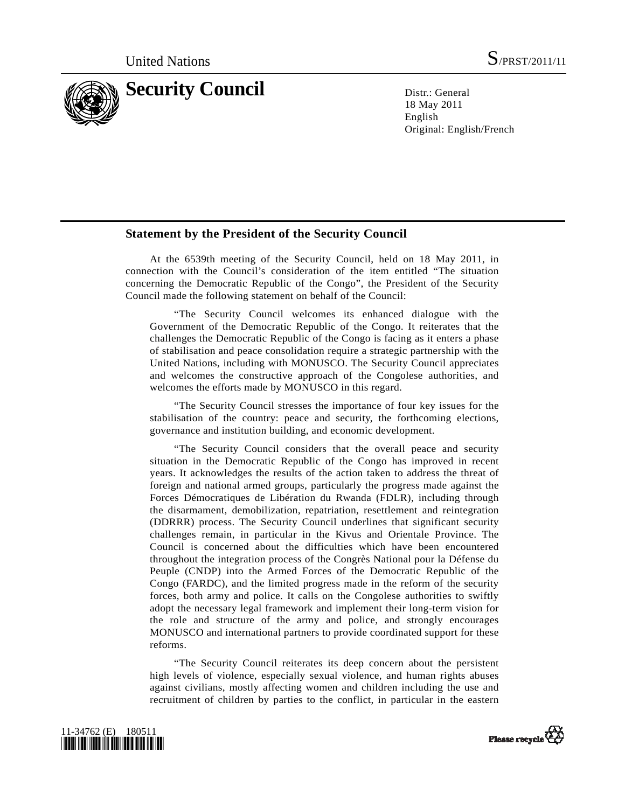

18 May 2011 English Original: English/French

## **Statement by the President of the Security Council**

 At the 6539th meeting of the Security Council, held on 18 May 2011, in connection with the Council's consideration of the item entitled "The situation concerning the Democratic Republic of the Congo", the President of the Security Council made the following statement on behalf of the Council:

 "The Security Council welcomes its enhanced dialogue with the Government of the Democratic Republic of the Congo. It reiterates that the challenges the Democratic Republic of the Congo is facing as it enters a phase of stabilisation and peace consolidation require a strategic partnership with the United Nations, including with MONUSCO. The Security Council appreciates and welcomes the constructive approach of the Congolese authorities, and welcomes the efforts made by MONUSCO in this regard.

 "The Security Council stresses the importance of four key issues for the stabilisation of the country: peace and security, the forthcoming elections, governance and institution building, and economic development.

 "The Security Council considers that the overall peace and security situation in the Democratic Republic of the Congo has improved in recent years. It acknowledges the results of the action taken to address the threat of foreign and national armed groups, particularly the progress made against the Forces Démocratiques de Libération du Rwanda (FDLR), including through the disarmament, demobilization, repatriation, resettlement and reintegration (DDRRR) process. The Security Council underlines that significant security challenges remain, in particular in the Kivus and Orientale Province. The Council is concerned about the difficulties which have been encountered throughout the integration process of the Congrès National pour la Défense du Peuple (CNDP) into the Armed Forces of the Democratic Republic of the Congo (FARDC), and the limited progress made in the reform of the security forces, both army and police. It calls on the Congolese authorities to swiftly adopt the necessary legal framework and implement their long-term vision for the role and structure of the army and police, and strongly encourages MONUSCO and international partners to provide coordinated support for these reforms.

 "The Security Council reiterates its deep concern about the persistent high levels of violence, especially sexual violence, and human rights abuses against civilians, mostly affecting women and children including the use and recruitment of children by parties to the conflict, in particular in the eastern



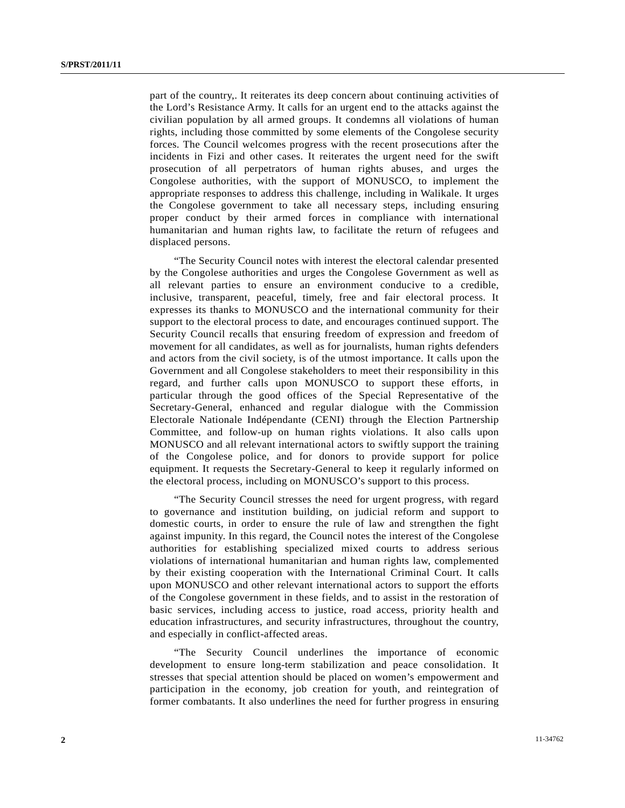part of the country,. It reiterates its deep concern about continuing activities of the Lord's Resistance Army. It calls for an urgent end to the attacks against the civilian population by all armed groups. It condemns all violations of human rights, including those committed by some elements of the Congolese security forces. The Council welcomes progress with the recent prosecutions after the incidents in Fizi and other cases. It reiterates the urgent need for the swift prosecution of all perpetrators of human rights abuses, and urges the Congolese authorities, with the support of MONUSCO, to implement the appropriate responses to address this challenge, including in Walikale. It urges the Congolese government to take all necessary steps, including ensuring proper conduct by their armed forces in compliance with international humanitarian and human rights law, to facilitate the return of refugees and displaced persons.

 "The Security Council notes with interest the electoral calendar presented by the Congolese authorities and urges the Congolese Government as well as all relevant parties to ensure an environment conducive to a credible, inclusive, transparent, peaceful, timely, free and fair electoral process. It expresses its thanks to MONUSCO and the international community for their support to the electoral process to date, and encourages continued support. The Security Council recalls that ensuring freedom of expression and freedom of movement for all candidates, as well as for journalists, human rights defenders and actors from the civil society, is of the utmost importance. It calls upon the Government and all Congolese stakeholders to meet their responsibility in this regard, and further calls upon MONUSCO to support these efforts, in particular through the good offices of the Special Representative of the Secretary-General, enhanced and regular dialogue with the Commission Electorale Nationale Indépendante (CENI) through the Election Partnership Committee, and follow-up on human rights violations. It also calls upon MONUSCO and all relevant international actors to swiftly support the training of the Congolese police, and for donors to provide support for police equipment. It requests the Secretary-General to keep it regularly informed on the electoral process, including on MONUSCO's support to this process.

 "The Security Council stresses the need for urgent progress, with regard to governance and institution building, on judicial reform and support to domestic courts, in order to ensure the rule of law and strengthen the fight against impunity. In this regard, the Council notes the interest of the Congolese authorities for establishing specialized mixed courts to address serious violations of international humanitarian and human rights law, complemented by their existing cooperation with the International Criminal Court. It calls upon MONUSCO and other relevant international actors to support the efforts of the Congolese government in these fields, and to assist in the restoration of basic services, including access to justice, road access, priority health and education infrastructures, and security infrastructures, throughout the country, and especially in conflict-affected areas.

 "The Security Council underlines the importance of economic development to ensure long-term stabilization and peace consolidation. It stresses that special attention should be placed on women's empowerment and participation in the economy, job creation for youth, and reintegration of former combatants. It also underlines the need for further progress in ensuring